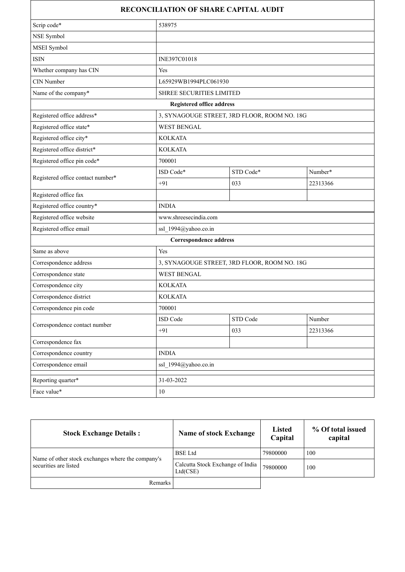|                                   |                                              | <b>RECONCILIATION OF SHARE CAPITAL AUDIT</b> |          |
|-----------------------------------|----------------------------------------------|----------------------------------------------|----------|
| Scrip code*                       | 538975                                       |                                              |          |
| NSE Symbol                        |                                              |                                              |          |
| MSEI Symbol                       |                                              |                                              |          |
| <b>ISIN</b>                       | INE397C01018                                 |                                              |          |
| Whether company has CIN           | Yes                                          |                                              |          |
| CIN Number                        | L65929WB1994PLC061930                        |                                              |          |
| Name of the company*              | SHREE SECURITIES LIMITED                     |                                              |          |
|                                   | <b>Registered office address</b>             |                                              |          |
| Registered office address*        |                                              | 3, SYNAGOUGE STREET, 3RD FLOOR, ROOM NO. 18G |          |
| Registered office state*          | <b>WEST BENGAL</b>                           |                                              |          |
| Registered office city*           | <b>KOLKATA</b>                               |                                              |          |
| Registered office district*       | <b>KOLKATA</b>                               |                                              |          |
| Registered office pin code*       | 700001                                       |                                              |          |
|                                   | ISD Code*                                    | STD Code*                                    | Number*  |
| Registered office contact number* | $+91$                                        | 033                                          | 22313366 |
| Registered office fax             |                                              |                                              |          |
| Registered office country*        | <b>INDIA</b>                                 |                                              |          |
| Registered office website         | www.shreesecindia.com                        |                                              |          |
| Registered office email           | ssl 1994@yahoo.co.in                         |                                              |          |
|                                   | Correspondence address                       |                                              |          |
| Same as above                     | Yes                                          |                                              |          |
| Correspondence address            | 3, SYNAGOUGE STREET, 3RD FLOOR, ROOM NO. 18G |                                              |          |
| Correspondence state              | <b>WEST BENGAL</b>                           |                                              |          |
| Correspondence city               | <b>KOLKATA</b>                               |                                              |          |
| Correspondence district           | <b>KOLKATA</b>                               |                                              |          |
| Correspondence pin code           | 700001                                       |                                              |          |
| Correspondence contact number     | ISD Code                                     | STD Code                                     | Number   |
|                                   | $+91$                                        | 033                                          | 22313366 |
| Correspondence fax                |                                              |                                              |          |
| Correspondence country            | <b>INDIA</b>                                 |                                              |          |
| Correspondence email              | ssl 1994@yahoo.co.in                         |                                              |          |
| Reporting quarter*                | 31-03-2022                                   |                                              |          |
| Face value*                       | $10\,$                                       |                                              |          |

| <b>Stock Exchange Details:</b>                                             | <b>Name of stock Exchange</b>                | Listed<br>Capital | % Of total issued<br>capital |
|----------------------------------------------------------------------------|----------------------------------------------|-------------------|------------------------------|
| Name of other stock exchanges where the company's<br>securities are listed | <b>BSE</b> Ltd                               | 79800000          | 100                          |
|                                                                            | Calcutta Stock Exchange of India<br>Ltd(CSE) | 79800000          | 100                          |
| Remarks                                                                    |                                              |                   |                              |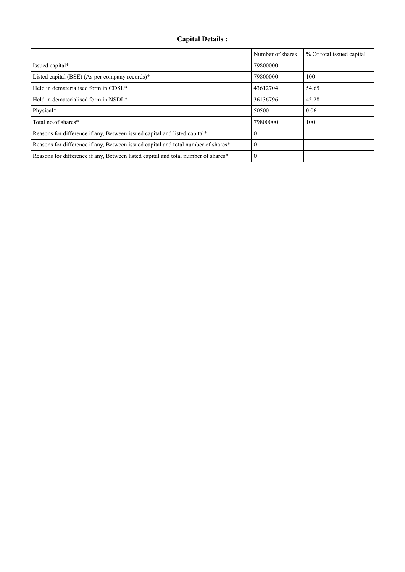| <b>Capital Details:</b>                                                           |                  |                           |  |
|-----------------------------------------------------------------------------------|------------------|---------------------------|--|
|                                                                                   | Number of shares | % Of total issued capital |  |
| Issued capital*                                                                   | 79800000         |                           |  |
| Listed capital (BSE) (As per company records)*                                    | 79800000         | 100                       |  |
| Held in dematerialised form in CDSL*                                              | 43612704         | 54.65                     |  |
| Held in dematerialised form in NSDL*                                              | 36136796         | 45.28                     |  |
| Physical*                                                                         | 50500            | 0.06                      |  |
| Total no.of shares*                                                               | 79800000         | 100                       |  |
| Reasons for difference if any, Between issued capital and listed capital*         | $\theta$         |                           |  |
| Reasons for difference if any, Between issued capital and total number of shares* | $\theta$         |                           |  |
| Reasons for difference if any, Between listed capital and total number of shares* | $\theta$         |                           |  |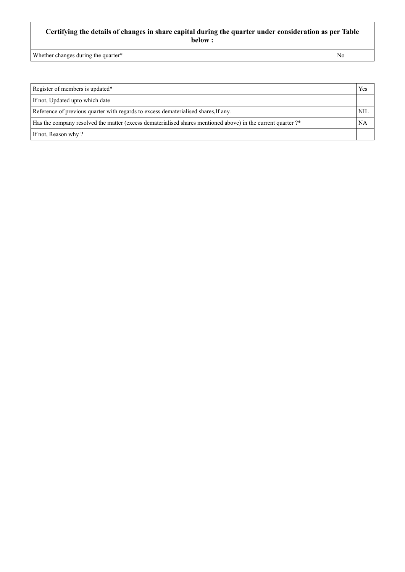## **Certifying the details of changes in share capital during the quarter under consideration as per Table below :**

Whether changes during the quarter\* No

| Register of members is updated*                                                                              |  |
|--------------------------------------------------------------------------------------------------------------|--|
| If not, Updated upto which date                                                                              |  |
| Reference of previous quarter with regards to excess dematerialised shares, If any.                          |  |
| Has the company resolved the matter (excess dematerialised shares mentioned above) in the current quarter ?* |  |
| If not, Reason why?                                                                                          |  |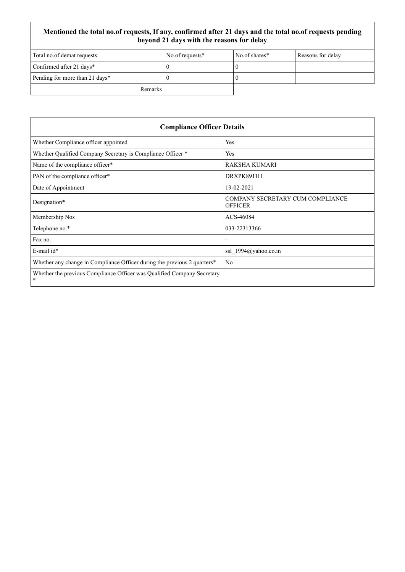## **Mentioned the total no.of requests, If any, confirmed after 21 days and the total no.of requests pending beyond 21 days with the reasons for delay**

| Total no.of demat requests     | No.of requests* | No.of shares* | Reasons for delay |
|--------------------------------|-----------------|---------------|-------------------|
| Confirmed after 21 days*       |                 |               |                   |
| Pending for more than 21 days* |                 |               |                   |
| Remarks                        |                 |               |                   |

| <b>Compliance Officer Details</b>                                            |                                                    |  |
|------------------------------------------------------------------------------|----------------------------------------------------|--|
| Whether Compliance officer appointed                                         | Yes                                                |  |
| Whether Qualified Company Secretary is Compliance Officer *                  | Yes                                                |  |
| Name of the compliance officer*                                              | <b>RAKSHA KUMARI</b>                               |  |
| PAN of the compliance officer*                                               | DRXPK8911H                                         |  |
| Date of Appointment                                                          | 19-02-2021                                         |  |
| Designation*                                                                 | COMPANY SECRETARY CUM COMPLIANCE<br><b>OFFICER</b> |  |
| Membership Nos                                                               | ACS-46084                                          |  |
| Telephone no.*                                                               | 033-22313366                                       |  |
| Fax no.                                                                      | $\overline{\phantom{a}}$                           |  |
| $E$ -mail id*                                                                | ssl 1994@yahoo.co.in                               |  |
| Whether any change in Compliance Officer during the previous 2 quarters*     | N <sub>o</sub>                                     |  |
| Whether the previous Compliance Officer was Qualified Company Secretary<br>* |                                                    |  |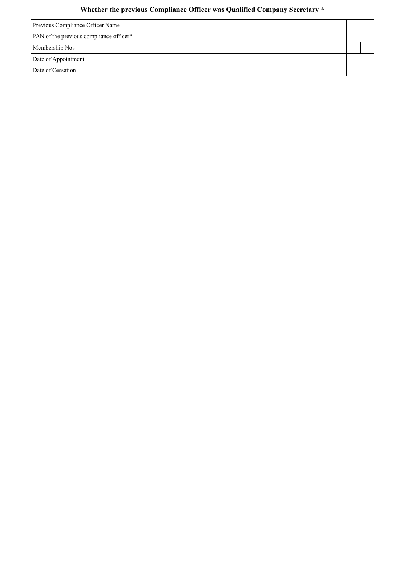| Whether the previous Compliance Officer was Qualified Company Secretary * |  |  |  |  |
|---------------------------------------------------------------------------|--|--|--|--|
| Previous Compliance Officer Name                                          |  |  |  |  |
| PAN of the previous compliance officer*                                   |  |  |  |  |
| Membership Nos                                                            |  |  |  |  |
| Date of Appointment                                                       |  |  |  |  |
| Date of Cessation                                                         |  |  |  |  |